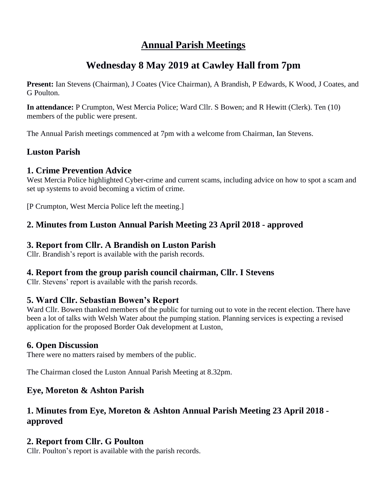## **Annual Parish Meetings**

# **Wednesday 8 May 2019 at Cawley Hall from 7pm**

**Present:** Ian Stevens (Chairman), J Coates (Vice Chairman), A Brandish, P Edwards, K Wood, J Coates, and G Poulton.

**In attendance:** P Crumpton, West Mercia Police; Ward Cllr. S Bowen; and R Hewitt (Clerk). Ten (10) members of the public were present.

The Annual Parish meetings commenced at 7pm with a welcome from Chairman, Ian Stevens.

## **Luston Parish**

#### **1. Crime Prevention Advice**

West Mercia Police highlighted Cyber-crime and current scams, including advice on how to spot a scam and set up systems to avoid becoming a victim of crime.

[P Crumpton, West Mercia Police left the meeting.]

### **2. Minutes from Luston Annual Parish Meeting 23 April 2018 - approved**

#### **3. Report from Cllr. A Brandish on Luston Parish**

Cllr. Brandish's report is available with the parish records.

#### **4. Report from the group parish council chairman, Cllr. I Stevens**

Cllr. Stevens' report is available with the parish records.

#### **5. Ward Cllr. Sebastian Bowen's Report**

Ward Cllr. Bowen thanked members of the public for turning out to vote in the recent election. There have been a lot of talks with Welsh Water about the pumping station. Planning services is expecting a revised application for the proposed Border Oak development at Luston,

#### **6. Open Discussion**

There were no matters raised by members of the public.

The Chairman closed the Luston Annual Parish Meeting at 8.32pm.

#### **Eye, Moreton & Ashton Parish**

### **1. Minutes from Eye, Moreton & Ashton Annual Parish Meeting 23 April 2018 approved**

#### **2. Report from Cllr. G Poulton**

Cllr. Poulton's report is available with the parish records.